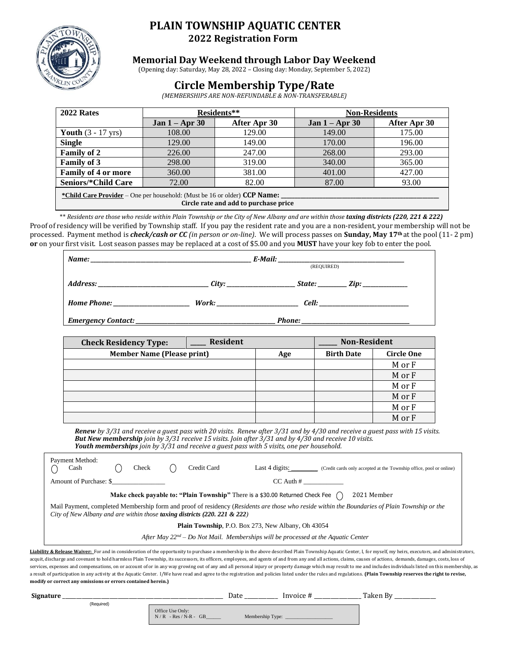

## **PLAIN TOWNSHIP AQUATIC CENTER 2022 Registration Form**

## **Memorial Day Weekend through Labor Day Weekend**

(Opening day: Saturday, May 28, 2022 – Closing day: Monday, September 5, 2022)

# **Circle Membership Type/Rate**

*(MEMBERSHIPS ARE NON-REFUNDABLE & NON-TRANSFERABLE)*

| 2022 Rates                                                                                                         |                  | Residents**  | <b>Non-Residents</b> |              |  |  |
|--------------------------------------------------------------------------------------------------------------------|------------------|--------------|----------------------|--------------|--|--|
|                                                                                                                    | Jan $1 -$ Apr 30 | After Apr 30 | Jan $1 -$ Apr 30     | After Apr 30 |  |  |
| Youth $(3 - 17 \text{ yrs})$                                                                                       | 108.00           | 129.00       | 149.00               | 175.00       |  |  |
| <b>Single</b>                                                                                                      | 129.00           | 149.00       | 170.00               | 196.00       |  |  |
| <b>Family of 2</b>                                                                                                 | 226.00           | 247.00       | 268.00               | 293.00       |  |  |
| <b>Family of 3</b>                                                                                                 | 298.00           | 319.00       | 340.00               | 365.00       |  |  |
| <b>Family of 4 or more</b>                                                                                         | 360.00           | 381.00       | 401.00               | 427.00       |  |  |
| Seniors/*Child Care                                                                                                | 72.00            | 82.00        | 87.00                | 93.00        |  |  |
| *Child Care Provider – One per household: (Must be 16 or older) CCP Name:<br>Circle rate and add to purchase price |                  |              |                      |              |  |  |

\*\* *Residents are those who reside within Plain Township or the City of New Albany and are within those taxing districts (220, 221 & 222)* Proof of residency will be verified by Township staff. If you pay the resident rate and you are a non-resident, your membership will not be processed. Payment method is *check/cash or CC (in person or on-line)*. We will process passes on **Sunday, May 17th** at the pool (11- 2 pm) **or** on your first visit. Lost season passes may be replaced at a cost of \$5.00 and you **MUST** have your key fob to enter the pool.

|                           | (REQUIRED)                         |  |             |
|---------------------------|------------------------------------|--|-------------|
|                           |                                    |  | State: Zip: |
| <b>Home Phone:</b>        | Work: ____________________________ |  |             |
| <b>Emergency Contact:</b> |                                    |  |             |

| <b>Check Residency Type:</b>      | <b>Resident</b> |     | <b>Non-Resident</b> |                   |
|-----------------------------------|-----------------|-----|---------------------|-------------------|
| <b>Member Name (Please print)</b> |                 | Age | <b>Birth Date</b>   | <b>Circle One</b> |
|                                   |                 |     |                     | M or F            |
|                                   |                 |     |                     | M or F            |
|                                   |                 |     |                     | M or F            |
|                                   |                 |     |                     | M or F            |
|                                   |                 |     |                     | M or F            |
|                                   |                 |     |                     | M or F            |

*Renew by 3/31 and receive a guest pass with 20 visits. Renew after 3/31 and by 4/30 and receive a guest pass with 15 visits. But New membership join by 3/31 receive 15 visits. Join after 3/31 and by 4/30 and receive 10 visits. Youth memberships join by 3/31 and receive a guest pass with 5 visits, one per household.*

| Payment Method:<br>Cash                                                                                                                                                                                                              |                                                                                                                    | Check |  | Credit Card | Last 4 digits: $\frac{1}{2}$<br>(Credit cards only accepted at the Township office, pool or online) |  |  |
|--------------------------------------------------------------------------------------------------------------------------------------------------------------------------------------------------------------------------------------|--------------------------------------------------------------------------------------------------------------------|-------|--|-------------|-----------------------------------------------------------------------------------------------------|--|--|
| Amount of Purchase: \$                                                                                                                                                                                                               |                                                                                                                    |       |  |             | $CC$ Auth $#$                                                                                       |  |  |
|                                                                                                                                                                                                                                      | <b>Make check payable to: "Plain Township"</b> There is a \$30.00 Returned Check Fee $\binom{ }{ }$<br>2021 Member |       |  |             |                                                                                                     |  |  |
| Mail Payment, completed Membership form and proof of residency (Residents are those who reside within the Boundaries of Plain Township or the<br>City of New Albany and are within those <b>taxing districts</b> $(220, 221 \& 222)$ |                                                                                                                    |       |  |             |                                                                                                     |  |  |
|                                                                                                                                                                                                                                      | Plain Township, P.O. Box 273, New Albany, Oh 43054                                                                 |       |  |             |                                                                                                     |  |  |
| After May $22^{nd}$ – Do Not Mail. Memberships will be processed at the Aquatic Center                                                                                                                                               |                                                                                                                    |       |  |             |                                                                                                     |  |  |
| Liability & Release Waiver: For and in consideration of the opportunity to purchase a membership in the above described Plain Township Aquatic Center, I, for myself, my heirs, executors, and administrators,                       |                                                                                                                    |       |  |             |                                                                                                     |  |  |

acquit, discharge and covenant to hold harmless Plain Township, its successors, its officers, employees, and agents of and from any and all actions, claims, causes of actions, demands, damages, costs, loss of services, expenses and compensations, on or account of or in any way growing out of any and all personal injury or property damage which may result to me and includes individuals listed on this membership, as a result of participation in any activity at the Aquatic Center. I/We have read and agree to the registration and policies listed under the rules and regulations. **(Plain Township reserves the right to revise, modify or correct any omissions or errors contained herein.)**

| Signature  |                                          | Date             | Invoice # | Taken By |
|------------|------------------------------------------|------------------|-----------|----------|
| (Required) | Office Use Only:<br>$N/R - Res/N-R - GB$ | Membership Type: |           |          |